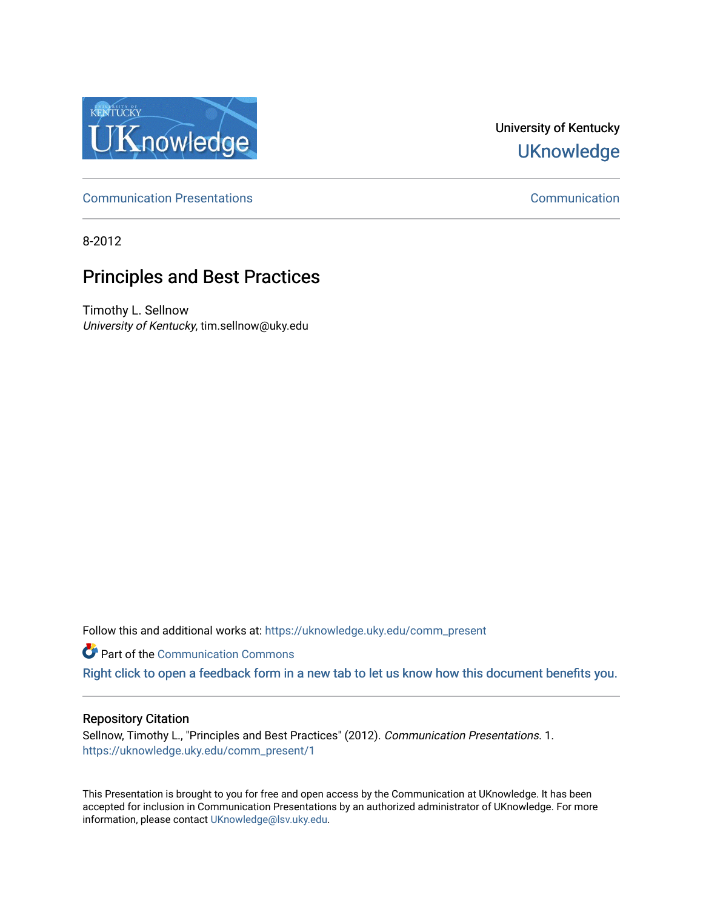

#### University of Kentucky **UKnowledge**

[Communication Presentations](https://uknowledge.uky.edu/comm_present) [Communication](https://uknowledge.uky.edu/comm) 

8-2012

#### Principles and Best Practices

Timothy L. Sellnow University of Kentucky, tim.sellnow@uky.edu

Follow this and additional works at: [https://uknowledge.uky.edu/comm\\_present](https://uknowledge.uky.edu/comm_present?utm_source=uknowledge.uky.edu%2Fcomm_present%2F1&utm_medium=PDF&utm_campaign=PDFCoverPages) 

Part of the [Communication Commons](http://network.bepress.com/hgg/discipline/325?utm_source=uknowledge.uky.edu%2Fcomm_present%2F1&utm_medium=PDF&utm_campaign=PDFCoverPages) 

[Right click to open a feedback form in a new tab to let us know how this document benefits you.](https://uky.az1.qualtrics.com/jfe/form/SV_9mq8fx2GnONRfz7)

#### Repository Citation

Sellnow, Timothy L., "Principles and Best Practices" (2012). Communication Presentations. 1. [https://uknowledge.uky.edu/comm\\_present/1](https://uknowledge.uky.edu/comm_present/1?utm_source=uknowledge.uky.edu%2Fcomm_present%2F1&utm_medium=PDF&utm_campaign=PDFCoverPages) 

This Presentation is brought to you for free and open access by the Communication at UKnowledge. It has been accepted for inclusion in Communication Presentations by an authorized administrator of UKnowledge. For more information, please contact [UKnowledge@lsv.uky.edu](mailto:UKnowledge@lsv.uky.edu).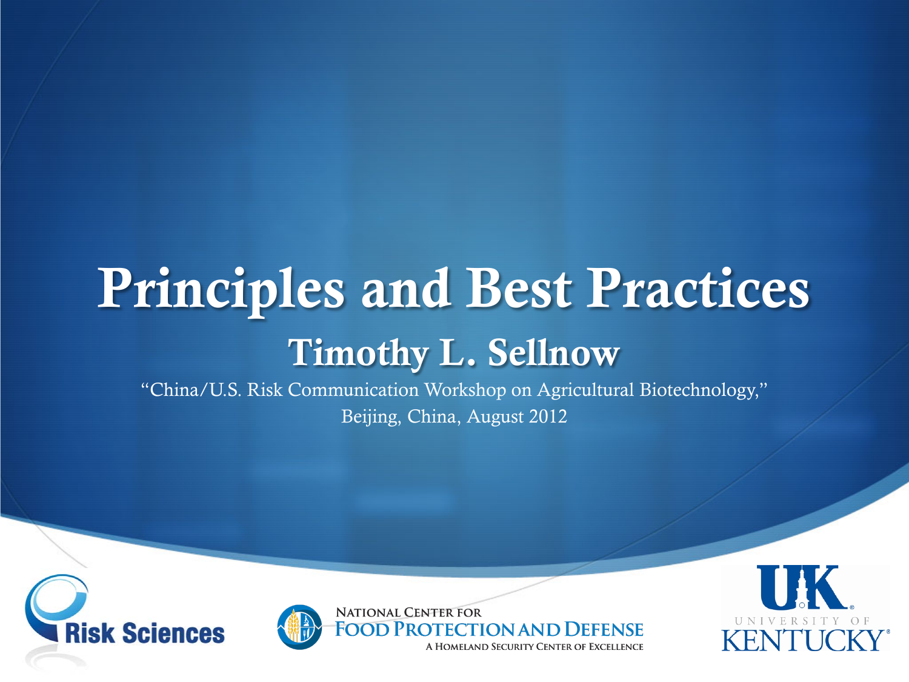## Principles and Best Practices Timothy L. Sellnow

"China/U.S. Risk Communication Workshop on Agricultural Biotechnology," Beijing, China, August 2012





**NATIONAL CENTER FOR CTION AND DEFENSE** A HOMELAND SECURITY CENTER OF EXCELLENCI

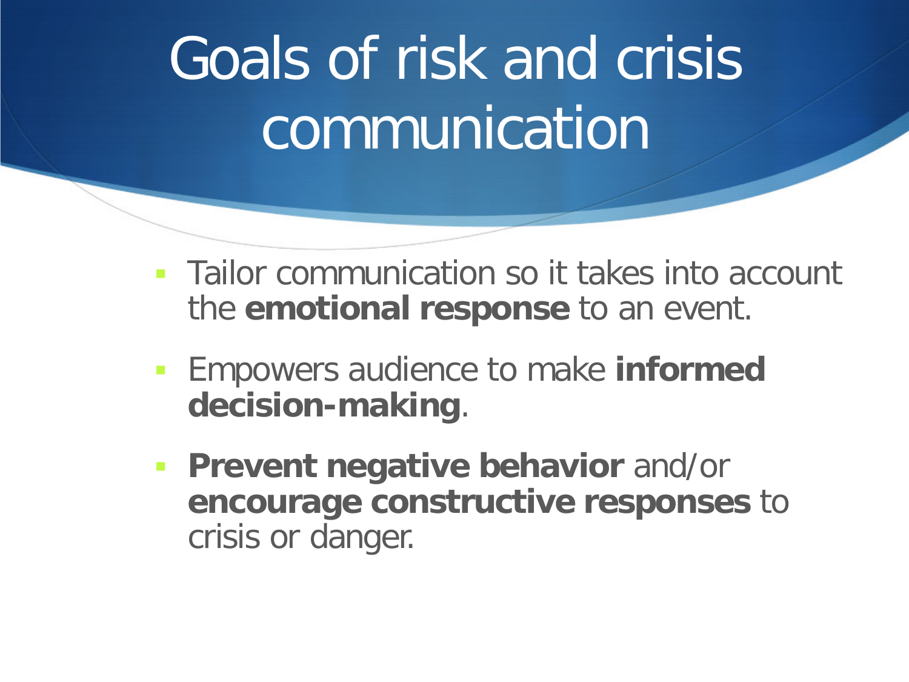# Goals of risk and crisis communication

- **Tailor communication so it takes into account** the **emotional response** to an event.
- **Empowers audience to make informed decision-making**.
- **Prevent negative behavior** and/or **encourage constructive responses** to crisis or danger.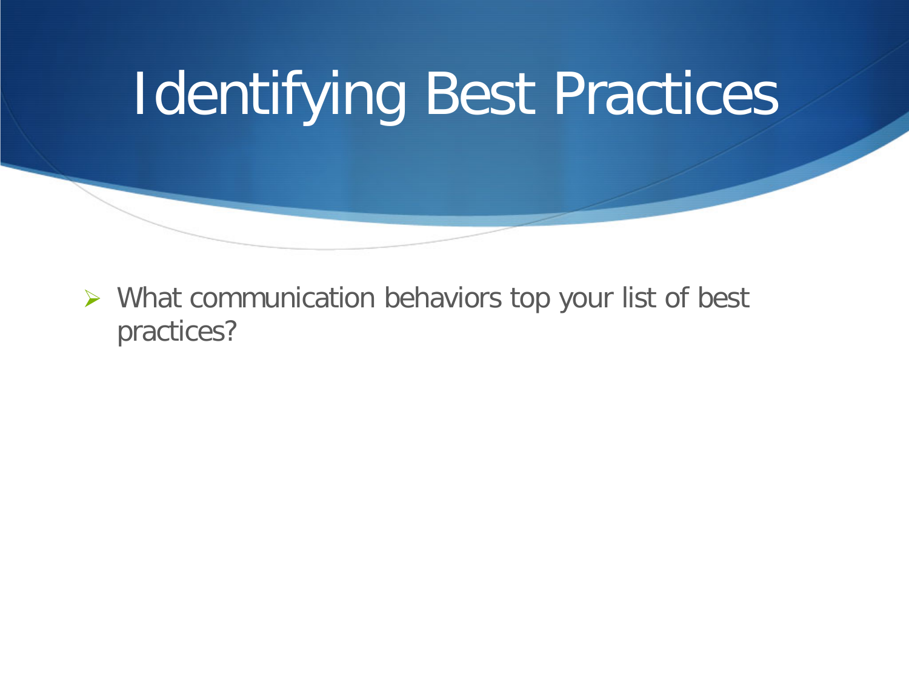

 $\triangleright$  What communication behaviors top your list of best practices?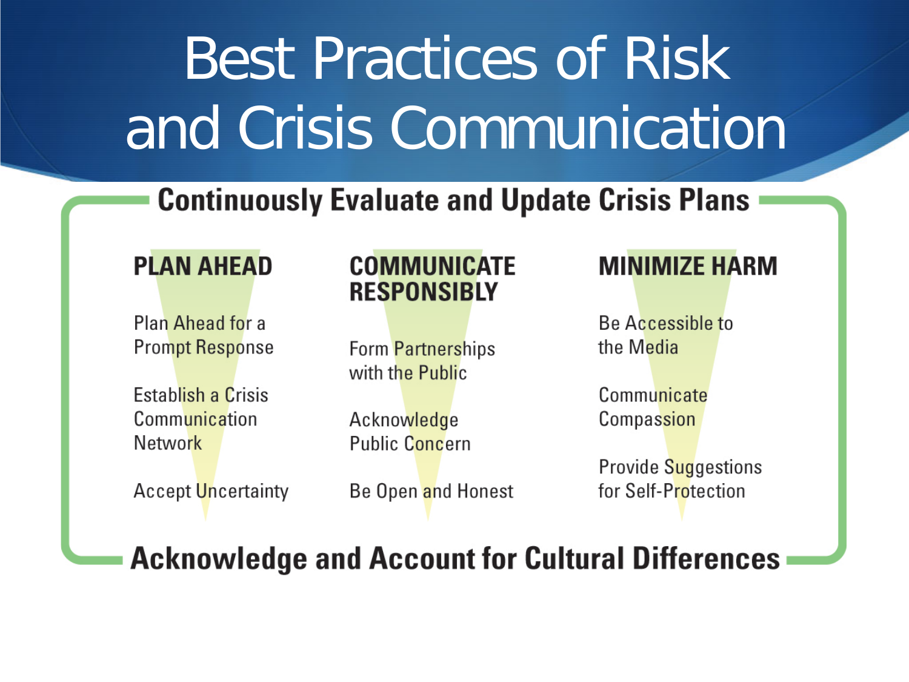# **Best Practices of Risk** and Crisis Communication

### **Continuously Evaluate and Update Crisis Plans**

### **PLAN AHEAD**

Plan Ahead for a **Prompt Response** 

**Establish a Crisis** Communication **Network** 

**Accept Uncertainty** 

#### **COMMUNICATE RESPONSIBLY**

**Form Partnerships** with the Public

Acknowledge **Public Concern** 

Be Open and Honest

### **MINIMIZE HARM**

Be Accessible to the Media

Communicate Compassion

Provide Suggestions for Self-Protection

## **Acknowledge and Account for Cultural Differences**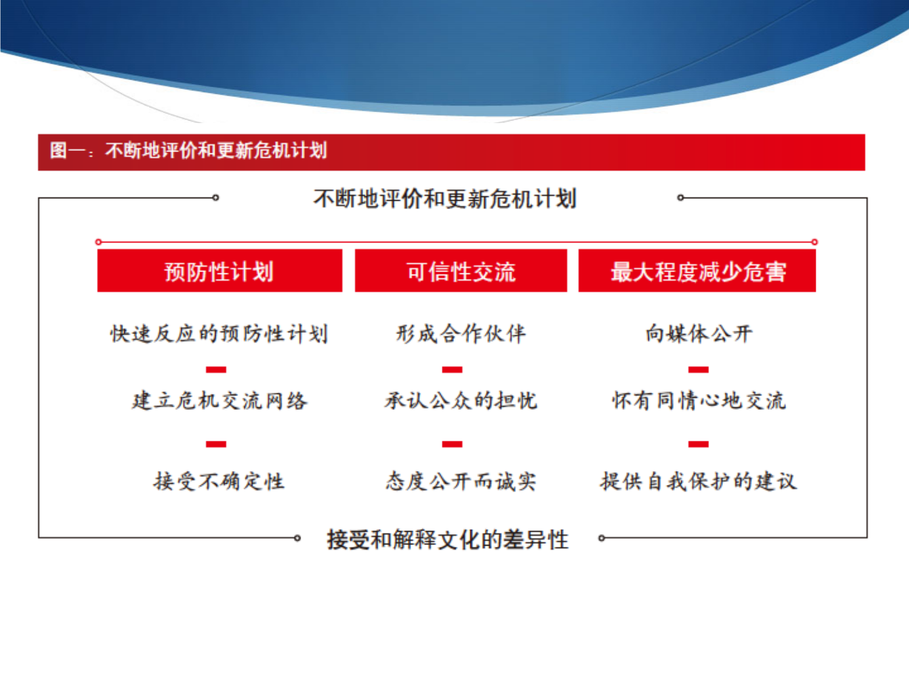#### 图一: 不断地评价和更新危机计划

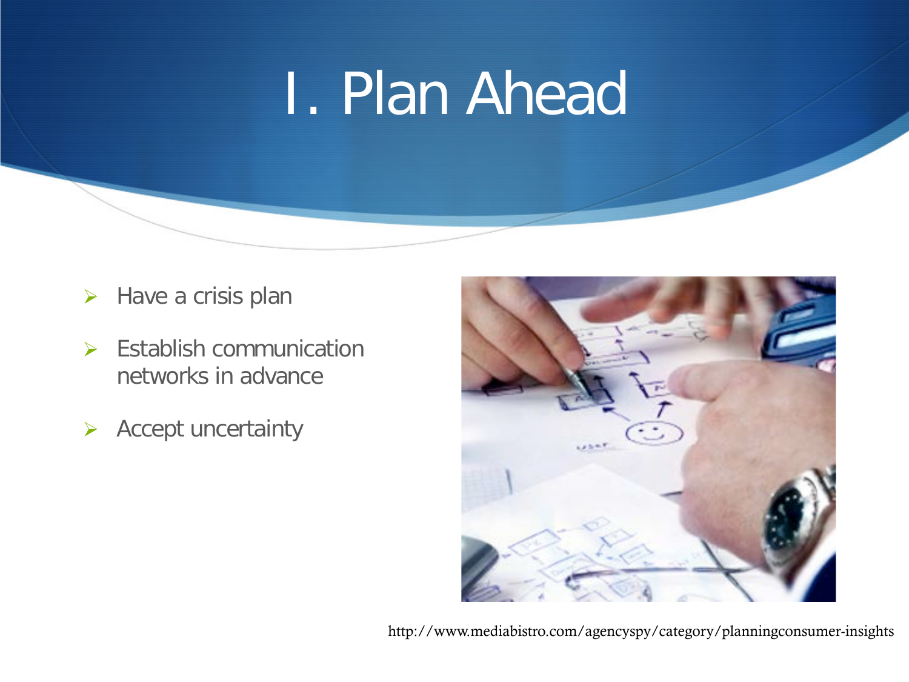# I. Plan Ahead

- $\triangleright$  Have a crisis plan
- $\triangleright$  Establish communication networks in advance
- $\triangleright$  Accept uncertainty



http://www.mediabistro.com/agencyspy/category/planningconsumer-insights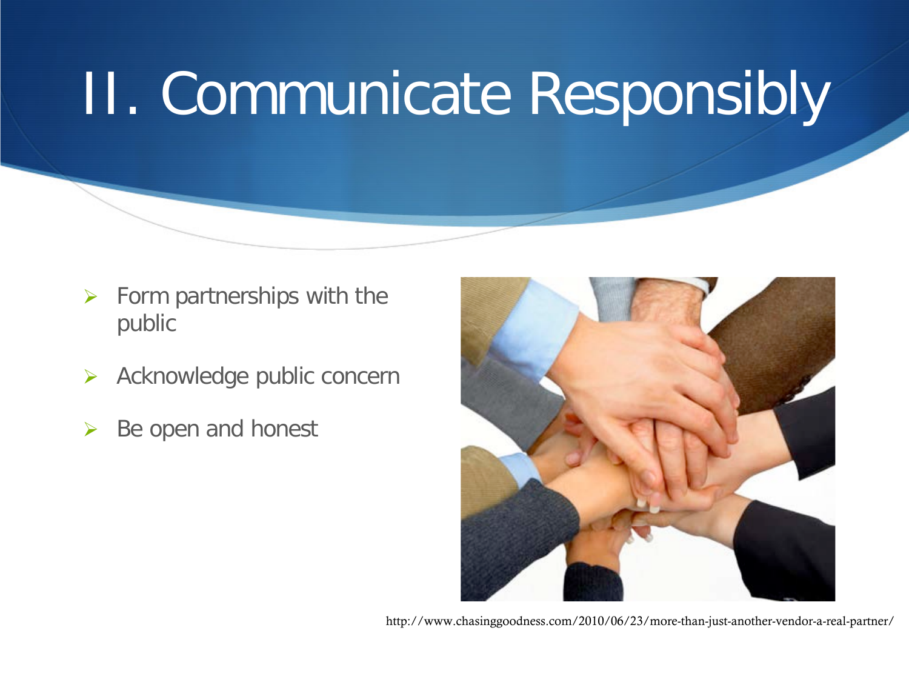# II. Communicate Responsibly

- $\triangleright$  Form partnerships with the public
- > Acknowledge public concern
- Be open and honest

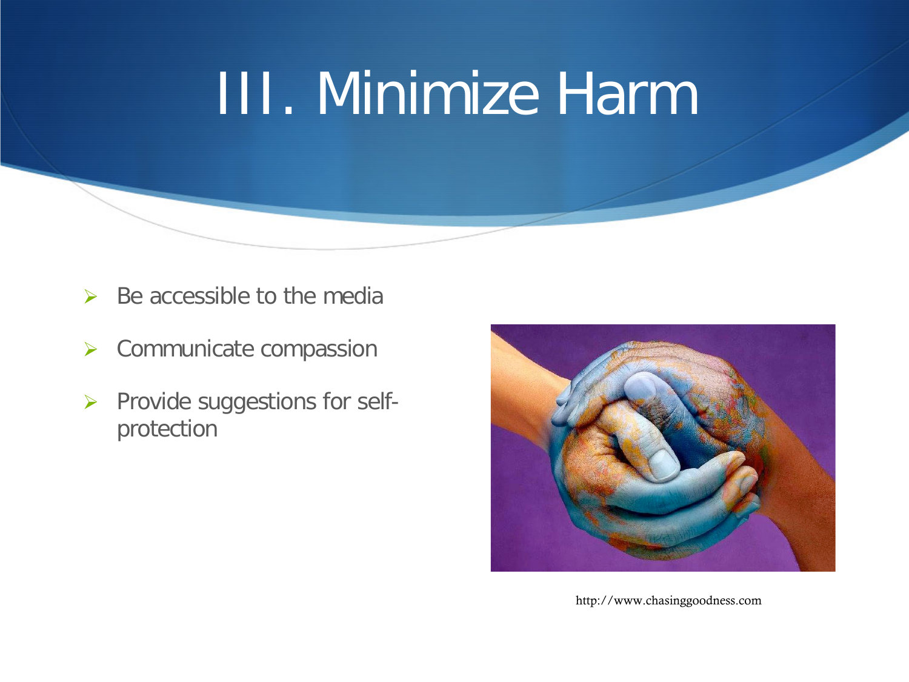# III. Minimize Harm

- $\triangleright$  Be accessible to the media
- $\triangleright$  Communicate compassion
- $\triangleright$  Provide suggestions for selfprotection



http://www.chasinggoodness.com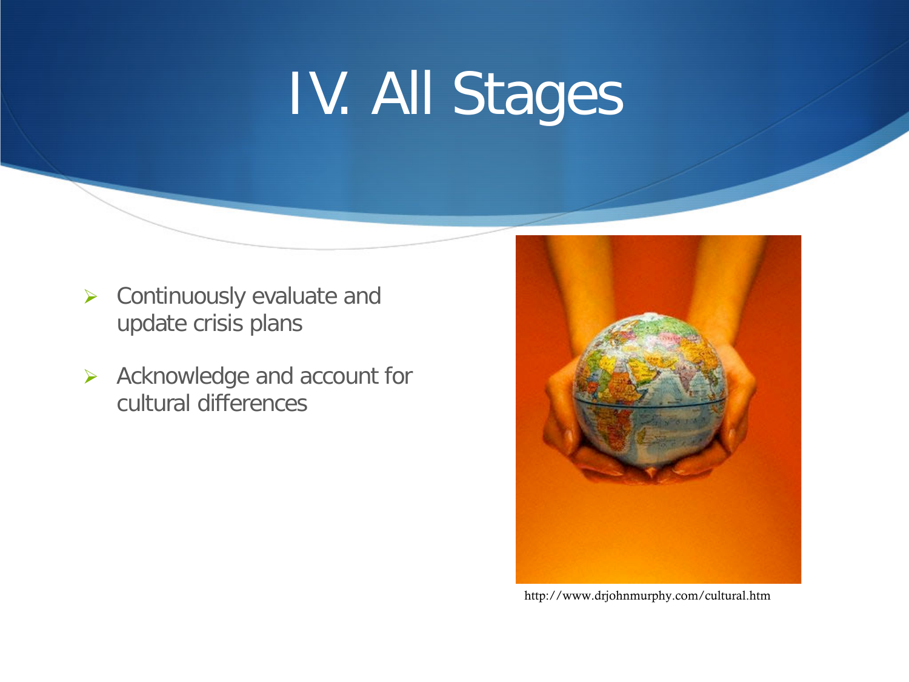# IV. All Stages

- $\triangleright$  Continuously evaluate and update crisis plans
- Acknowledge and account for cultural differences



http://www.drjohnmurphy.com/cultural.htm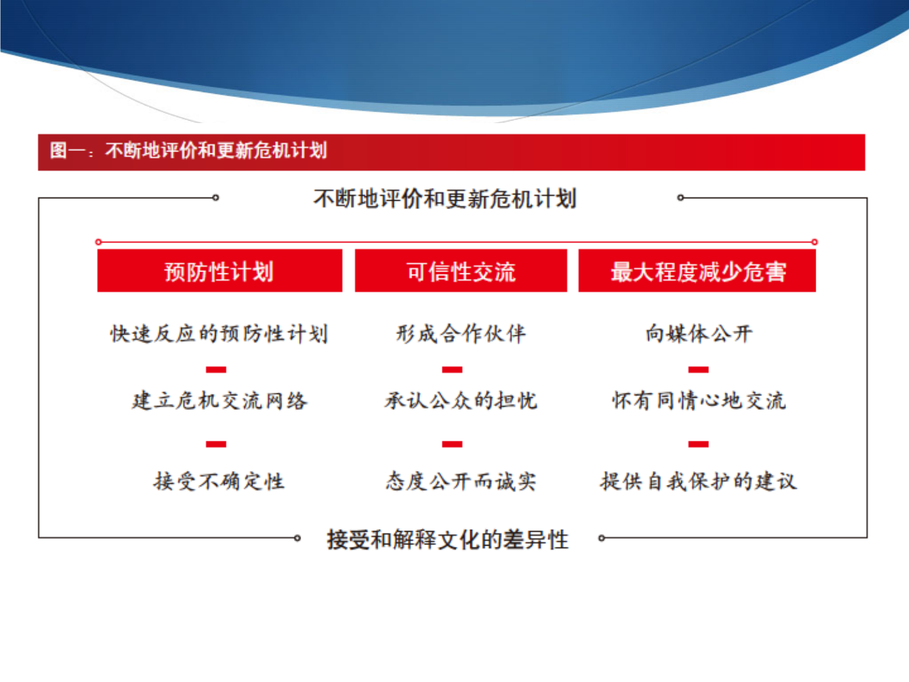#### 图一: 不断地评价和更新危机计划

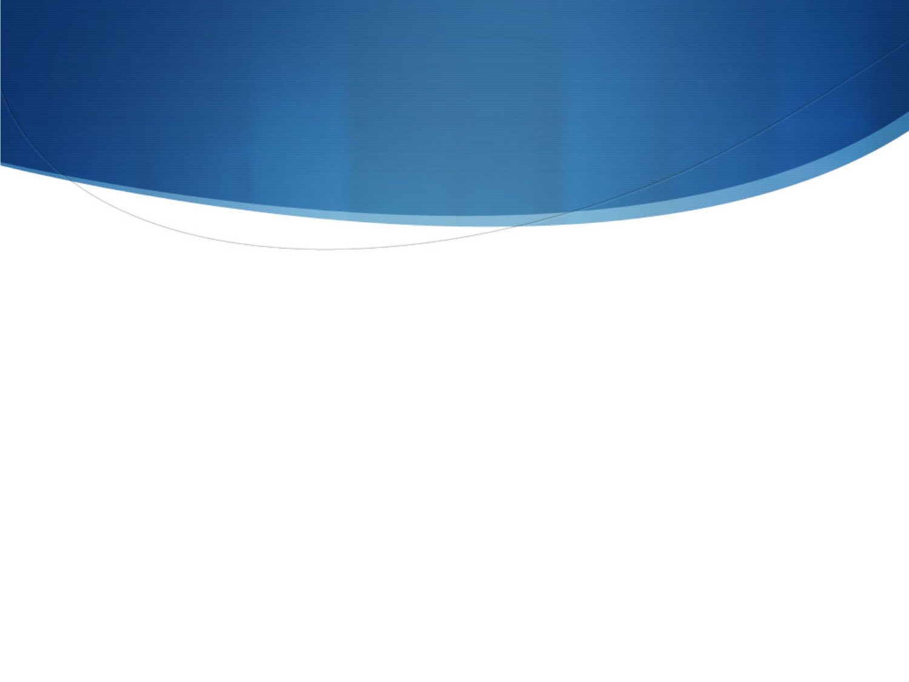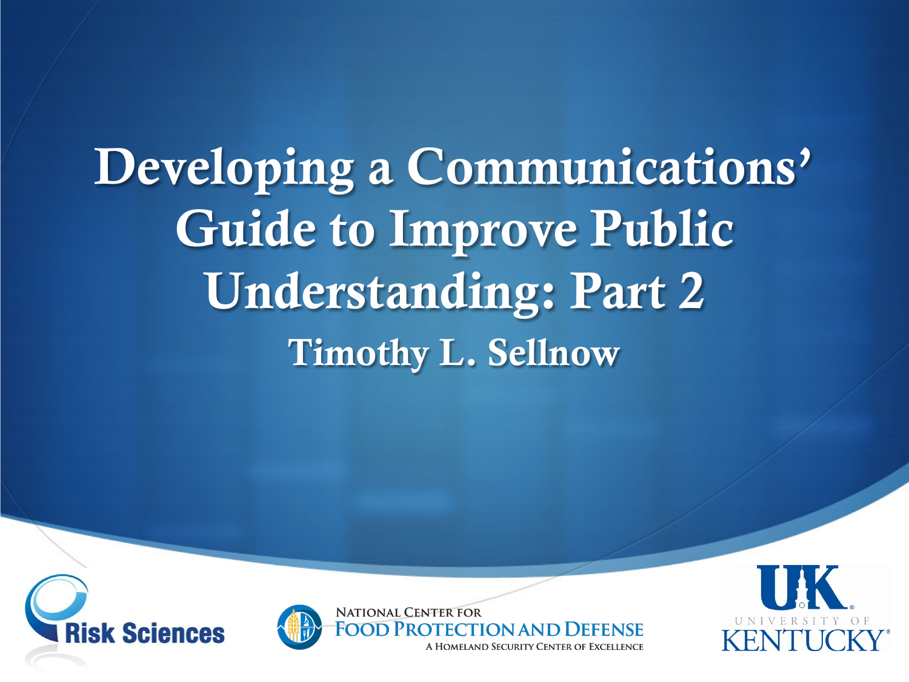Developing a Communications' Guide to Improve Public Understanding: Part 2 Timothy L. Sellnow





**NATIONAL CENTER FOR** vd Security Center of Excellenc

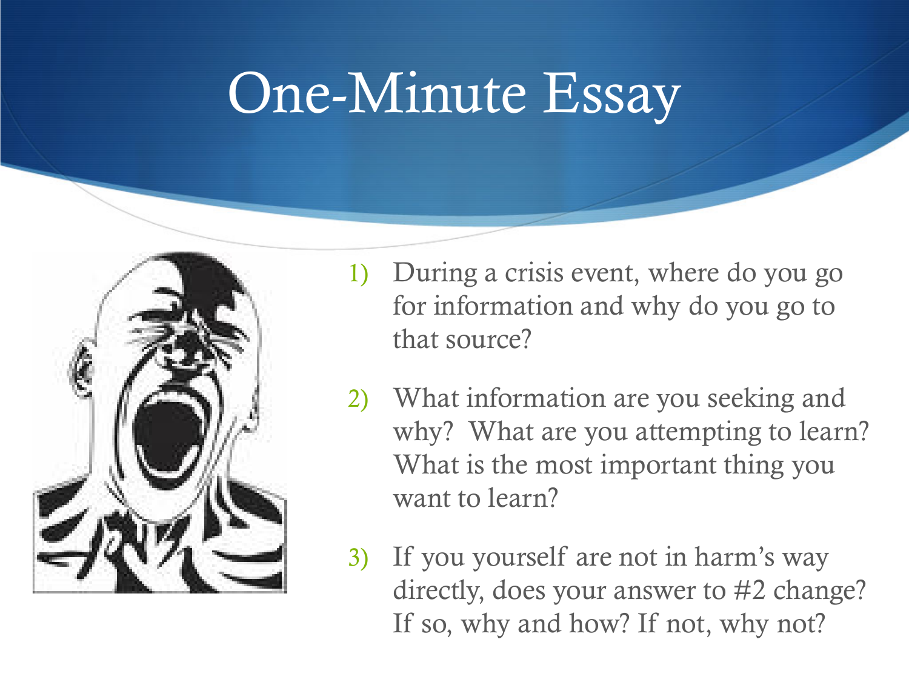## One-Minute Essay



- 1) During a crisis event, where do you go for information and why do you go to that source?
- 2) What information are you seeking and why? What are you attempting to learn? What is the most important thing you want to learn?
- 3) If you yourself are not in harm's way directly, does your answer to #2 change? If so, why and how? If not, why not?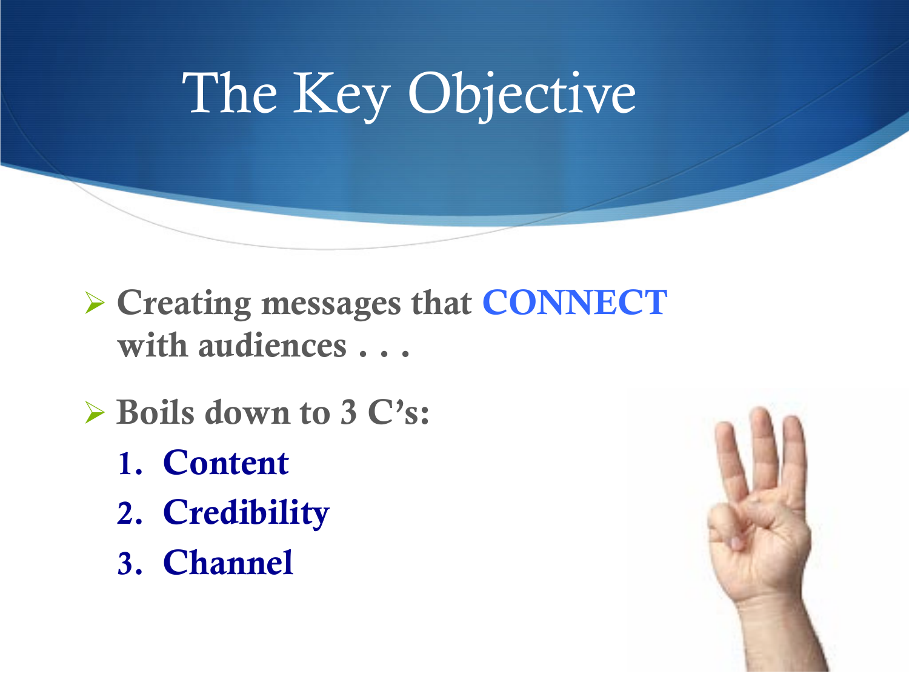# The Key Objective

 Creating messages that CONNECT with audiences . . .

 $\triangleright$  Boils down to 3 C's:

- 1. Content
- 2. Credibility
- 3. Channel

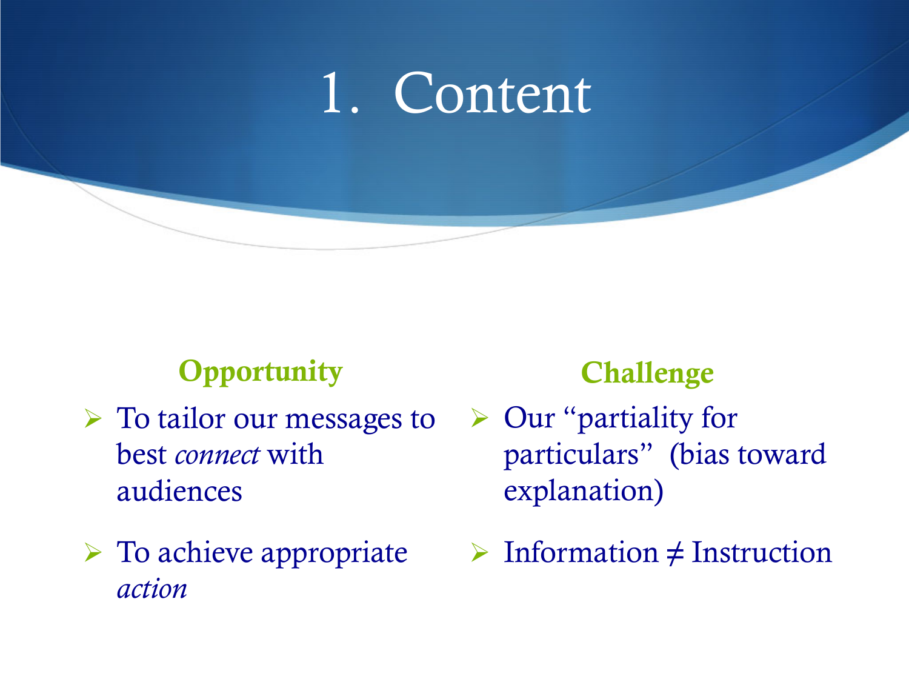## 1. Content

### **Opportunity**

- $\triangleright$  To tailor our messages to best *connect* with audiences
- $\triangleright$  To achieve appropriate *action*

### Challenge

- Our "partiality for particulars" (bias toward explanation)
- $\triangleright$  Information  $\neq$  Instruction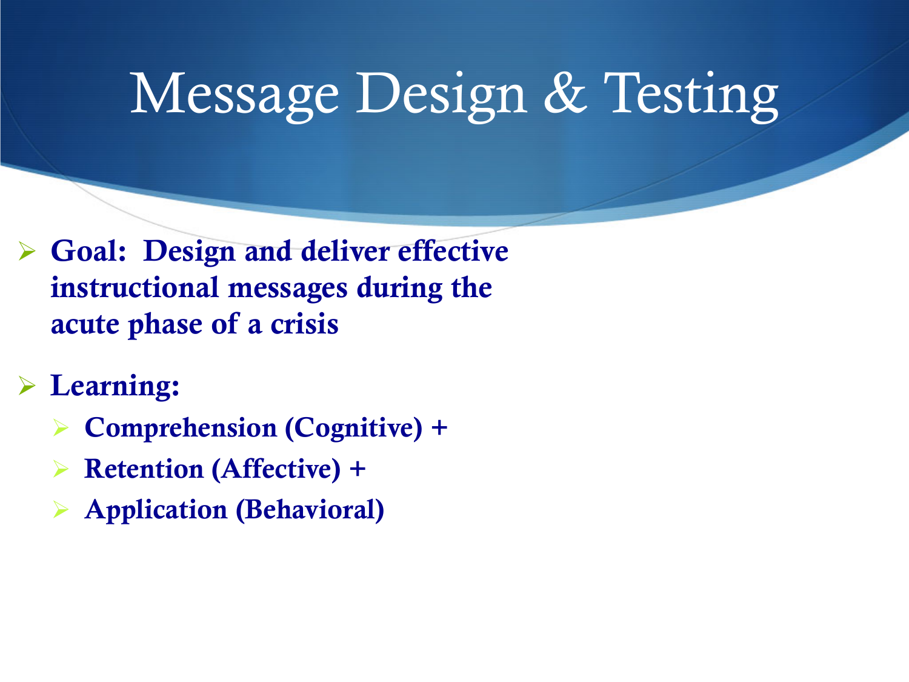## Message Design & Testing

- Goal: Design and deliver effective instructional messages during the acute phase of a crisis
- Learning:
	- Comprehension (Cognitive) +
	- $\triangleright$  Retention (Affective) +
	- Application (Behavioral)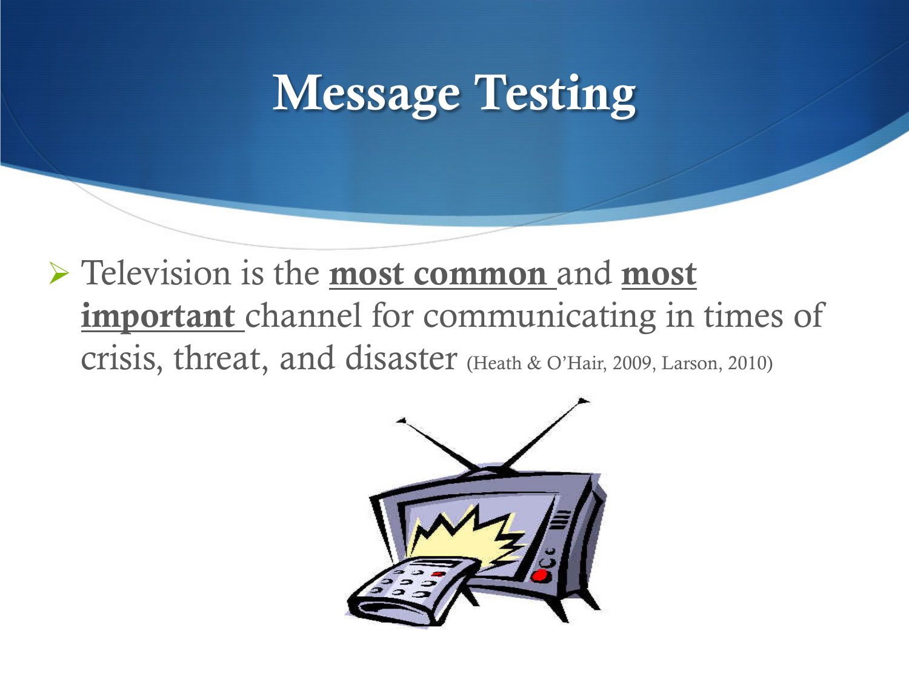## Message Testing

 $\triangleright$  Television is the most common and most important channel for communicating in times of crisis, threat, and disaster (Heath & O'Hair, 2009, Larson, 2010)

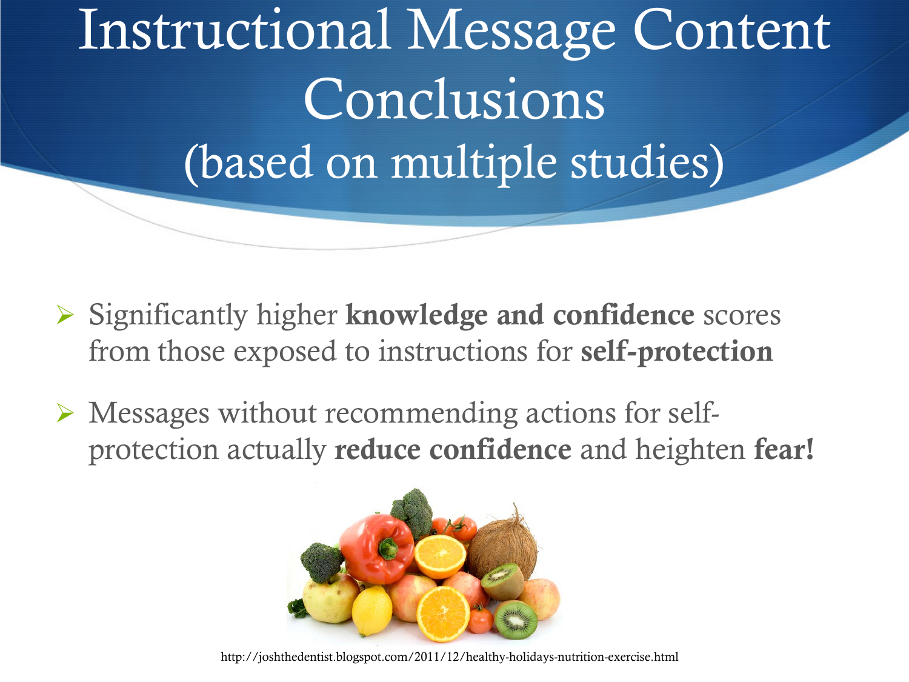# Instructional Message Content Conclusions (based on multiple studies)

- $\triangleright$  Significantly higher knowledge and confidence scores from those exposed to instructions for self-protection
- $\triangleright$  Messages without recommending actions for selfprotection actually reduce confidence and heighten fear!



http://joshthedentist.blogspot.com/2011/12/healthy-holidays-nutrition-exercise.html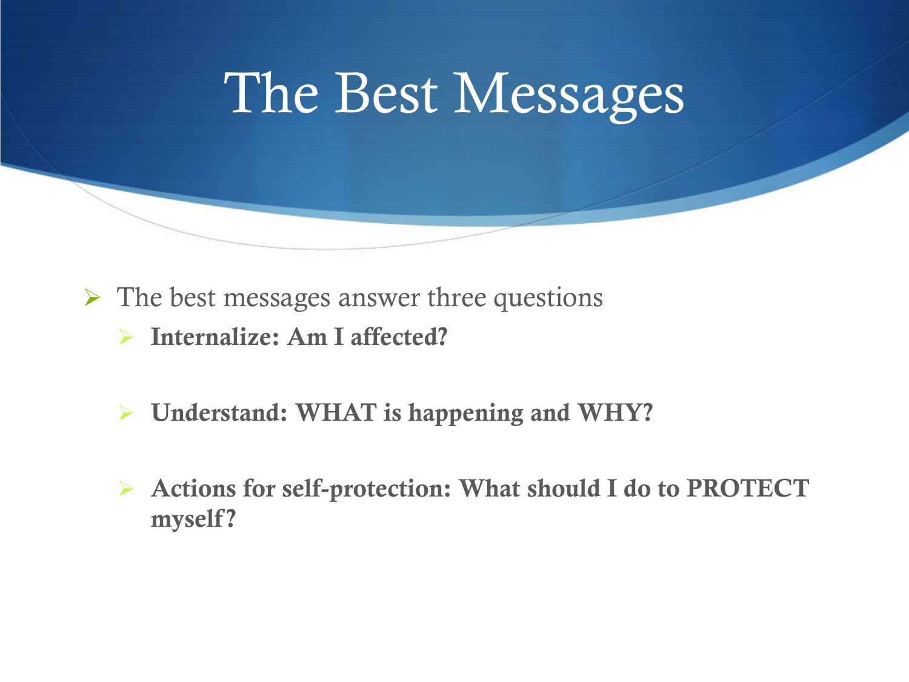## The Best Messages

- $\triangleright$  The best messages answer three questions
	- $\triangleright$  Internalize: Am I affected?
	- $\triangleright$  Understand: WHAT is happening and WHY?
	- Actions for self-protection: What should I do to PROTECT myself?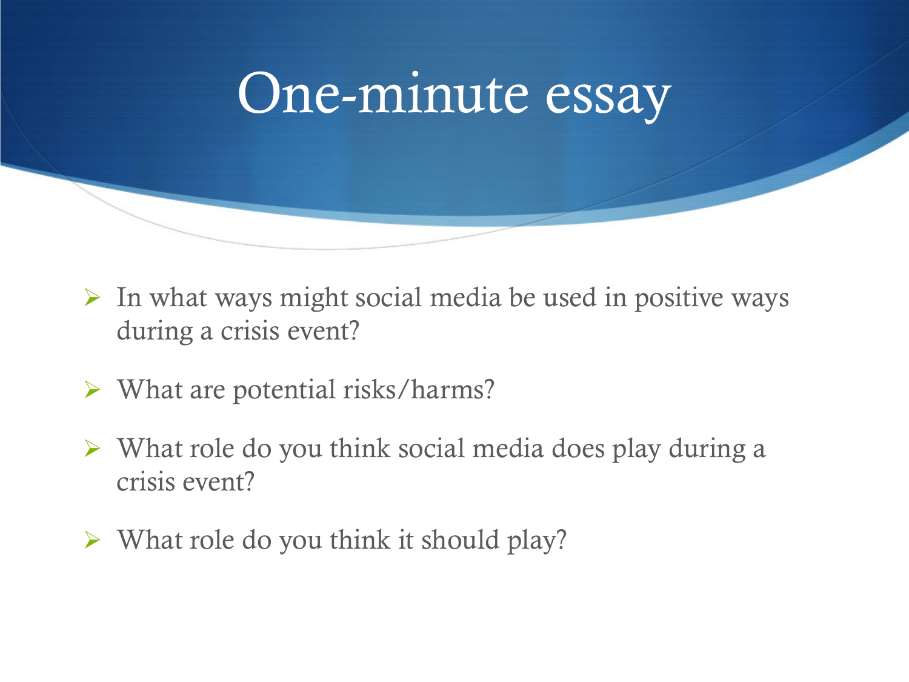

- $\triangleright$  In what ways might social media be used in positive ways during a crisis event?
- $\triangleright$  What are potential risks/harms?
- $\triangleright$  What role do you think social media does play during a crisis event?
- $\triangleright$  What role do you think it should play?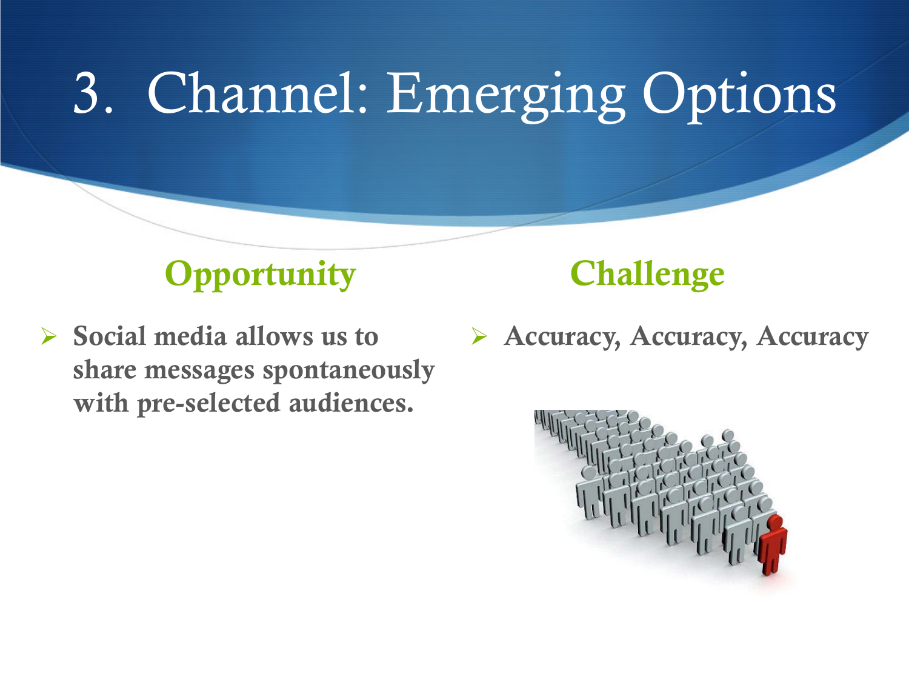# 3. Channel: Emerging Options

## **Opportunity**

 $\triangleright$  Social media allows us to share messages spontaneously with pre-selected audiences.

Challenge

▶ Accuracy, Accuracy, Accuracy